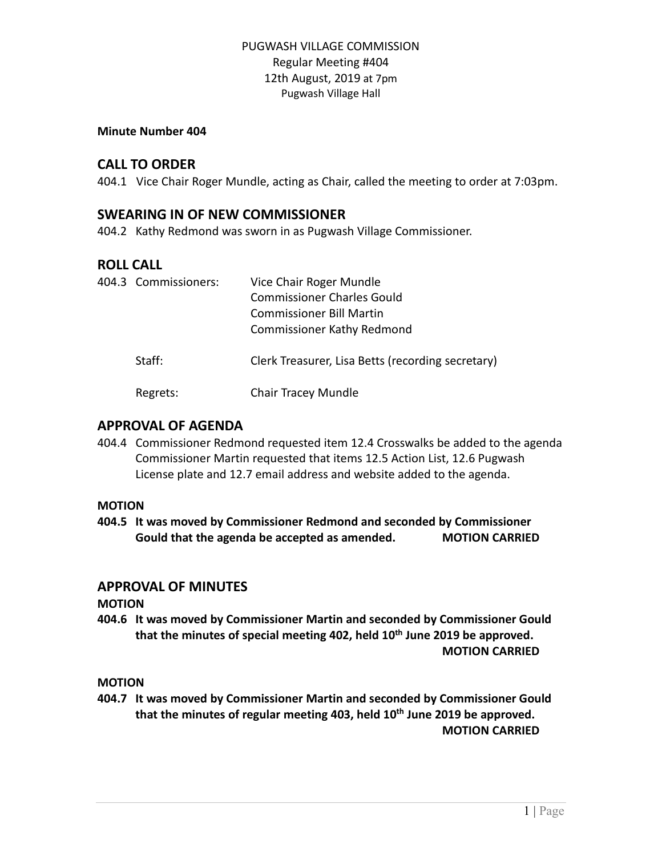#### **Minute Number 404**

# **CALL TO ORDER**

404.1 Vice Chair Roger Mundle, acting as Chair, called the meeting to order at 7:03pm.

## **SWEARING IN OF NEW COMMISSIONER**

404.2 Kathy Redmond was sworn in as Pugwash Village Commissioner.

# **ROLL CALL**

| 404.3 Commissioners: | Vice Chair Roger Mundle<br><b>Commissioner Charles Gould</b><br><b>Commissioner Bill Martin</b><br><b>Commissioner Kathy Redmond</b> |
|----------------------|--------------------------------------------------------------------------------------------------------------------------------------|
| Staff:               | Clerk Treasurer, Lisa Betts (recording secretary)                                                                                    |
| Regrets:             | <b>Chair Tracey Mundle</b>                                                                                                           |

### **APPROVAL OF AGENDA**

404.4 Commissioner Redmond requested item 12.4 Crosswalks be added to the agenda Commissioner Martin requested that items 12.5 Action List, 12.6 Pugwash License plate and 12.7 email address and website added to the agenda.

#### **MOTION**

**404.5 It was moved by Commissioner Redmond and seconded by Commissioner Gould that the agenda be accepted as amended. MOTION CARRIED**

# **APPROVAL OF MINUTES**

**MOTION**

**404.6 It was moved by Commissioner Martin and seconded by Commissioner Gould that the minutes of special meeting 402, held 10th June 2019 be approved. MOTION CARRIED**

**MOTION**

**404.7 It was moved by Commissioner Martin and seconded by Commissioner Gould that the minutes of regular meeting 403, held 10th June 2019 be approved. MOTION CARRIED**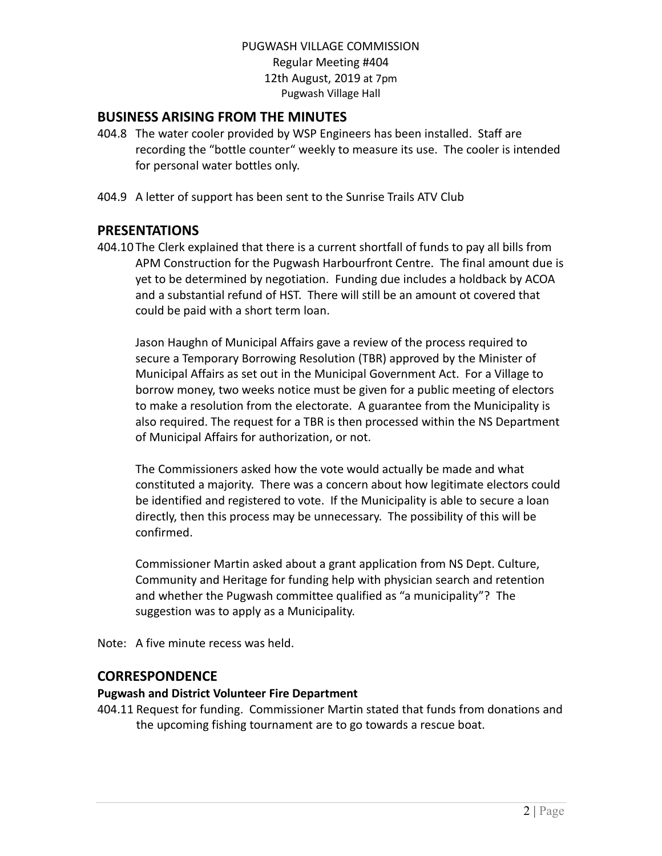# **BUSINESS ARISING FROM THE MINUTES**

- 404.8 The water cooler provided by WSP Engineers has been installed. Staff are recording the "bottle counter" weekly to measure its use. The cooler is intended for personal water bottles only.
- 404.9 A letter of support has been sent to the Sunrise Trails ATV Club

### **PRESENTATIONS**

404.10 The Clerk explained that there is a current shortfall of funds to pay all bills from APM Construction for the Pugwash Harbourfront Centre. The final amount due is yet to be determined by negotiation. Funding due includes a holdback by ACOA and a substantial refund of HST. There will still be an amount ot covered that could be paid with a short term loan.

Jason Haughn of Municipal Affairs gave a review of the process required to secure a Temporary Borrowing Resolution (TBR) approved by the Minister of Municipal Affairs as set out in the Municipal Government Act. For a Village to borrow money, two weeks notice must be given for a public meeting of electors to make a resolution from the electorate. A guarantee from the Municipality is also required. The request for a TBR is then processed within the NS Department of Municipal Affairs for authorization, or not.

The Commissioners asked how the vote would actually be made and what constituted a majority. There was a concern about how legitimate electors could be identified and registered to vote. If the Municipality is able to secure a loan directly, then this process may be unnecessary. The possibility of this will be confirmed.

Commissioner Martin asked about a grant application from NS Dept. Culture, Community and Heritage for funding help with physician search and retention and whether the Pugwash committee qualified as "a municipality"? The suggestion was to apply as a Municipality.

Note: A five minute recess was held.

# **CORRESPONDENCE**

#### **Pugwash and District Volunteer Fire Department**

404.11 Request for funding. Commissioner Martin stated that funds from donations and the upcoming fishing tournament are to go towards a rescue boat.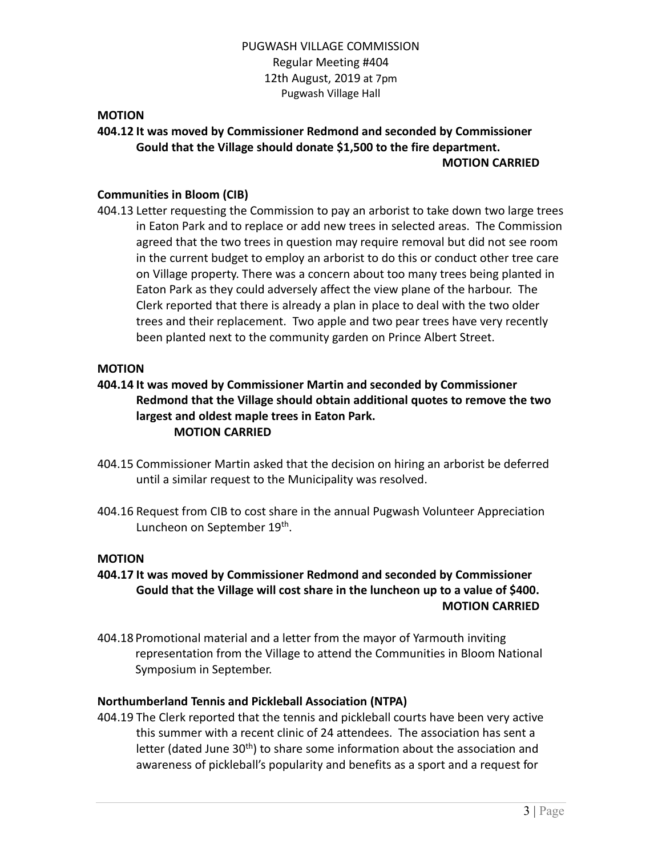#### **MOTION**

# **404.12 It was moved by Commissioner Redmond and seconded by Commissioner Gould that the Village should donate \$1,500 to the fire department. MOTION CARRIED**

### **Communities in Bloom (CIB)**

404.13 Letter requesting the Commission to pay an arborist to take down two large trees in Eaton Park and to replace or add new trees in selected areas. The Commission agreed that the two trees in question may require removal but did not see room in the current budget to employ an arborist to do this or conduct other tree care on Village property. There was a concern about too many trees being planted in Eaton Park as they could adversely affect the view plane of the harbour. The Clerk reported that there is already a plan in place to deal with the two older trees and their replacement. Two apple and two pear trees have very recently been planted next to the community garden on Prince Albert Street.

#### **MOTION**

# **404.14 It was moved by Commissioner Martin and seconded by Commissioner Redmond that the Village should obtain additional quotes to remove the two largest and oldest maple trees in Eaton Park. MOTION CARRIED**

- 404.15 Commissioner Martin asked that the decision on hiring an arborist be deferred until a similar request to the Municipality was resolved.
- 404.16 Request from CIB to cost share in the annual Pugwash Volunteer Appreciation Luncheon on September 19<sup>th</sup>.

#### **MOTION**

- **404.17 It was moved by Commissioner Redmond and seconded by Commissioner Gould that the Village will cost share in the luncheon up to a value of \$400. MOTION CARRIED**
- 404.18 Promotional material and a letter from the mayor of Yarmouth inviting representation from the Village to attend the Communities in Bloom National Symposium in September.

#### **Northumberland Tennis and Pickleball Association (NTPA)**

404.19 The Clerk reported that the tennis and pickleball courts have been very active this summer with a recent clinic of 24 attendees. The association has sent a letter (dated June  $30<sup>th</sup>$ ) to share some information about the association and awareness of pickleball's popularity and benefits as a sport and a request for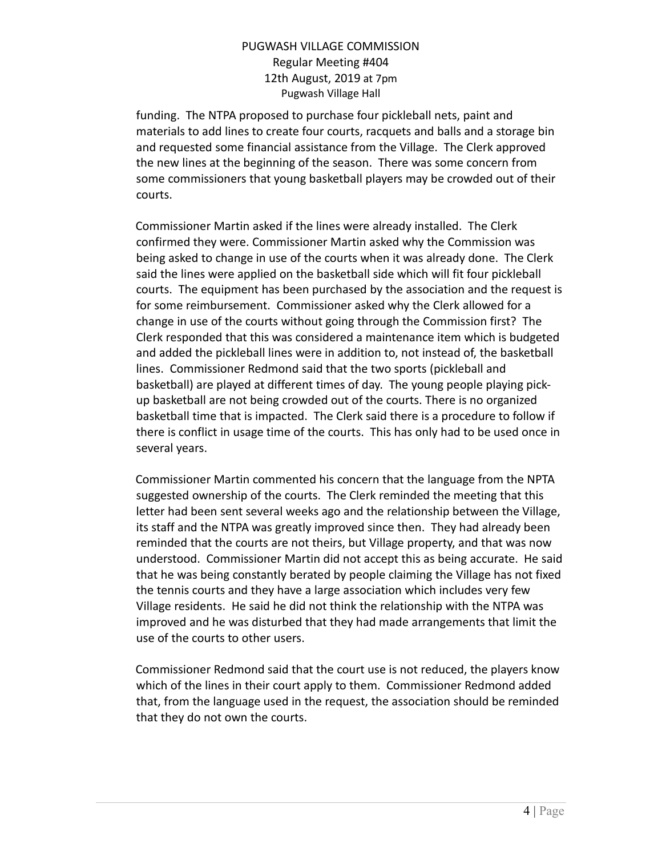funding. The NTPA proposed to purchase four pickleball nets, paint and materials to add lines to create four courts, racquets and balls and a storage bin and requested some financial assistance from the Village. The Clerk approved the new lines at the beginning of the season. There was some concern from some commissioners that young basketball players may be crowded out of their courts.

Commissioner Martin asked if the lines were already installed. The Clerk confirmed they were. Commissioner Martin asked why the Commission was being asked to change in use of the courts when it was already done. The Clerk said the lines were applied on the basketball side which will fit four pickleball courts. The equipment has been purchased by the association and the request is for some reimbursement. Commissioner asked why the Clerk allowed for a change in use of the courts without going through the Commission first? The Clerk responded that this was considered a maintenance item which is budgeted and added the pickleball lines were in addition to, not instead of, the basketball lines. Commissioner Redmond said that the two sports (pickleball and basketball) are played at different times of day. The young people playing pickup basketball are not being crowded out of the courts. There is no organized basketball time that is impacted. The Clerk said there is a procedure to follow if there is conflict in usage time of the courts. This has only had to be used once in several years.

Commissioner Martin commented his concern that the language from the NPTA suggested ownership of the courts. The Clerk reminded the meeting that this letter had been sent several weeks ago and the relationship between the Village, its staff and the NTPA was greatly improved since then. They had already been reminded that the courts are not theirs, but Village property, and that was now understood. Commissioner Martin did not accept this as being accurate. He said that he was being constantly berated by people claiming the Village has not fixed the tennis courts and they have a large association which includes very few Village residents. He said he did not think the relationship with the NTPA was improved and he was disturbed that they had made arrangements that limit the use of the courts to other users.

Commissioner Redmond said that the court use is not reduced, the players know which of the lines in their court apply to them. Commissioner Redmond added that, from the language used in the request, the association should be reminded that they do not own the courts.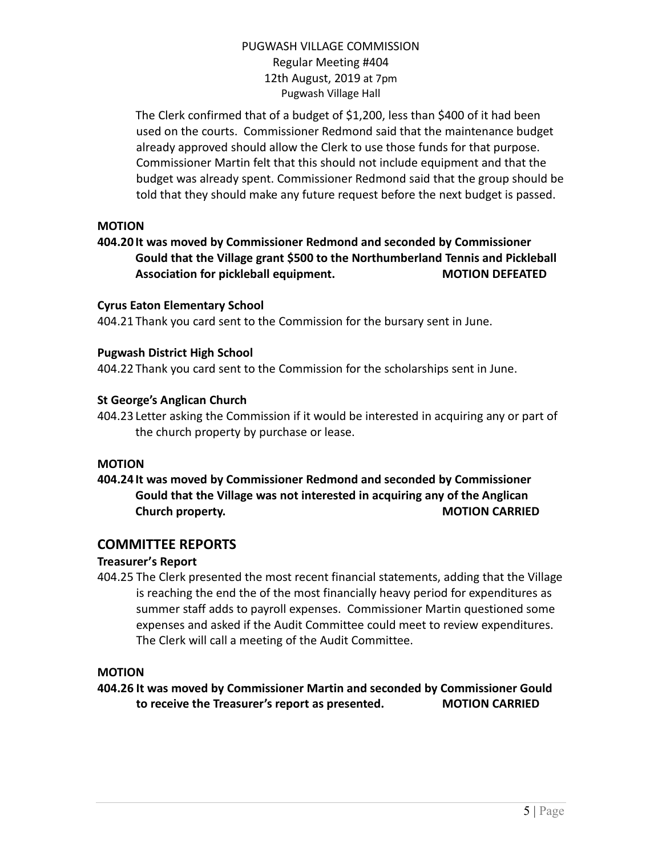The Clerk confirmed that of a budget of \$1,200, less than \$400 of it had been used on the courts. Commissioner Redmond said that the maintenance budget already approved should allow the Clerk to use those funds for that purpose. Commissioner Martin felt that this should not include equipment and that the budget was already spent. Commissioner Redmond said that the group should be told that they should make any future request before the next budget is passed.

# **MOTION**

# **404.20 It was moved by Commissioner Redmond and seconded by Commissioner Gould that the Village grant \$500 to the Northumberland Tennis and Pickleball Association for pickleball equipment. MOTION DEFEATED**

#### **Cyrus Eaton Elementary School**

404.21 Thank you card sent to the Commission for the bursary sent in June.

### **Pugwash District High School**

404.22 Thank you card sent to the Commission for the scholarships sent in June.

### **St George's Anglican Church**

404.23 Letter asking the Commission if it would be interested in acquiring any or part of the church property by purchase or lease.

#### **MOTION**

# **404.24 It was moved by Commissioner Redmond and seconded by Commissioner Gould that the Village was not interested in acquiring any of the Anglican Church property. MOTION CARRIED**

# **COMMITTEE REPORTS**

#### **Treasurer's Report**

404.25 The Clerk presented the most recent financial statements, adding that the Village is reaching the end the of the most financially heavy period for expenditures as summer staff adds to payroll expenses. Commissioner Martin questioned some expenses and asked if the Audit Committee could meet to review expenditures. The Clerk will call a meeting of the Audit Committee.

# **MOTION**

**404.26 It was moved by Commissioner Martin and seconded by Commissioner Gould to receive the Treasurer's report as presented. MOTION CARRIED**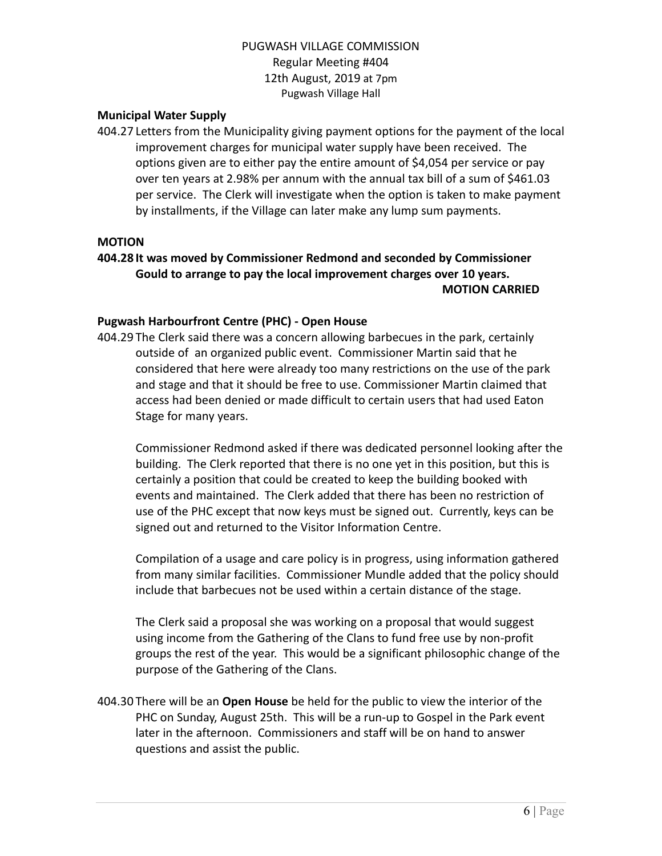### **Municipal Water Supply**

404.27 Letters from the Municipality giving payment options for the payment of the local improvement charges for municipal water supply have been received. The options given are to either pay the entire amount of \$4,054 per service or pay over ten years at 2.98% per annum with the annual tax bill of a sum of \$461.03 per service. The Clerk will investigate when the option is taken to make payment by installments, if the Village can later make any lump sum payments.

#### **MOTION**

# **404.28 It was moved by Commissioner Redmond and seconded by Commissioner Gould to arrange to pay the local improvement charges over 10 years. MOTION CARRIED**

#### **Pugwash Harbourfront Centre (PHC) - Open House**

404.29 The Clerk said there was a concern allowing barbecues in the park, certainly outside of an organized public event. Commissioner Martin said that he considered that here were already too many restrictions on the use of the park and stage and that it should be free to use. Commissioner Martin claimed that access had been denied or made difficult to certain users that had used Eaton Stage for many years.

Commissioner Redmond asked if there was dedicated personnel looking after the building. The Clerk reported that there is no one yet in this position, but this is certainly a position that could be created to keep the building booked with events and maintained. The Clerk added that there has been no restriction of use of the PHC except that now keys must be signed out. Currently, keys can be signed out and returned to the Visitor Information Centre.

Compilation of a usage and care policy is in progress, using information gathered from many similar facilities. Commissioner Mundle added that the policy should include that barbecues not be used within a certain distance of the stage.

The Clerk said a proposal she was working on a proposal that would suggest using income from the Gathering of the Clans to fund free use by non-profit groups the rest of the year. This would be a significant philosophic change of the purpose of the Gathering of the Clans.

404.30 There will be an **Open House** be held for the public to view the interior of the PHC on Sunday, August 25th. This will be a run-up to Gospel in the Park event later in the afternoon. Commissioners and staff will be on hand to answer questions and assist the public.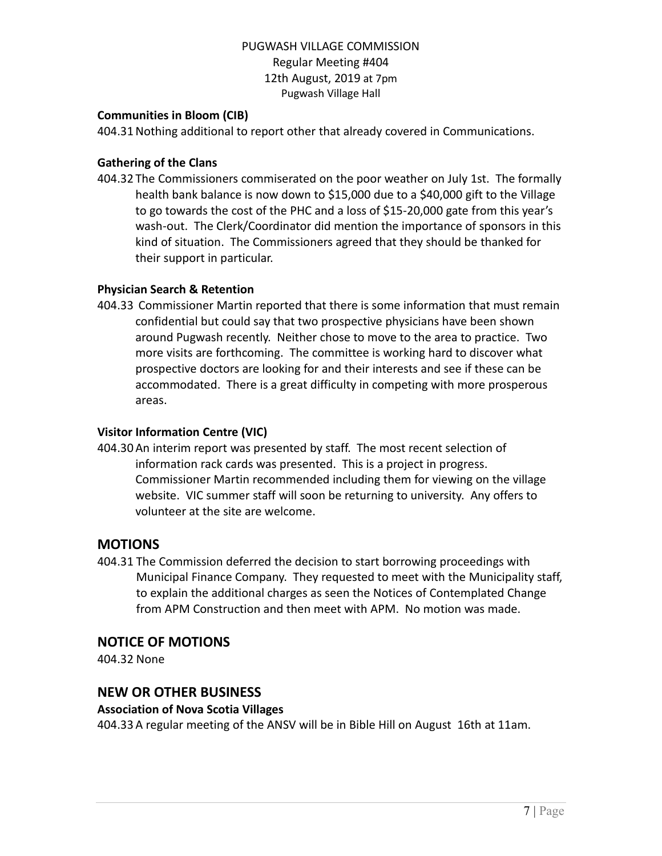### **Communities in Bloom (CIB)**

404.31Nothing additional to report other that already covered in Communications.

### **Gathering of the Clans**

404.32 The Commissioners commiserated on the poor weather on July 1st. The formally health bank balance is now down to \$15,000 due to a \$40,000 gift to the Village to go towards the cost of the PHC and a loss of \$15-20,000 gate from this year's wash-out. The Clerk/Coordinator did mention the importance of sponsors in this kind of situation. The Commissioners agreed that they should be thanked for their support in particular.

### **Physician Search & Retention**

404.33 Commissioner Martin reported that there is some information that must remain confidential but could say that two prospective physicians have been shown around Pugwash recently. Neither chose to move to the area to practice. Two more visits are forthcoming. The committee is working hard to discover what prospective doctors are looking for and their interests and see if these can be accommodated. There is a great difficulty in competing with more prosperous areas.

### **Visitor Information Centre (VIC)**

404.30An interim report was presented by staff. The most recent selection of information rack cards was presented. This is a project in progress. Commissioner Martin recommended including them for viewing on the village website. VIC summer staff will soon be returning to university. Any offers to volunteer at the site are welcome.

# **MOTIONS**

404.31 The Commission deferred the decision to start borrowing proceedings with Municipal Finance Company. They requested to meet with the Municipality staff, to explain the additional charges as seen the Notices of Contemplated Change from APM Construction and then meet with APM. No motion was made.

# **NOTICE OF MOTIONS**

404.32 None

# **NEW OR OTHER BUSINESS**

#### **Association of Nova Scotia Villages**

404.33A regular meeting of the ANSV will be in Bible Hill on August 16th at 11am.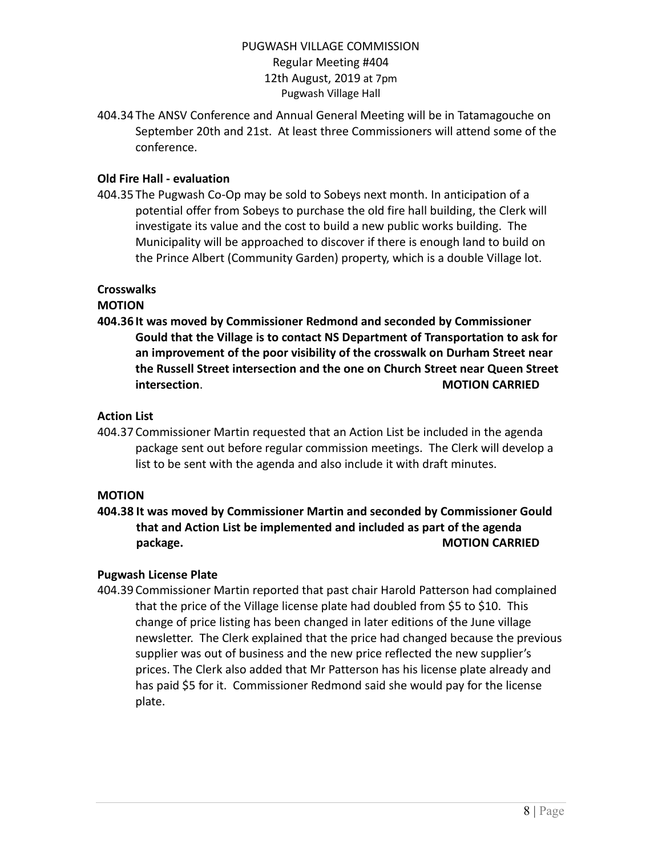404.34 The ANSV Conference and Annual General Meeting will be in Tatamagouche on September 20th and 21st. At least three Commissioners will attend some of the conference.

# **Old Fire Hall - evaluation**

404.35 The Pugwash Co-Op may be sold to Sobeys next month. In anticipation of a potential offer from Sobeys to purchase the old fire hall building, the Clerk will investigate its value and the cost to build a new public works building. The Municipality will be approached to discover if there is enough land to build on the Prince Albert (Community Garden) property, which is a double Village lot.

#### **Crosswalks**

#### **MOTION**

**404.36 It was moved by Commissioner Redmond and seconded by Commissioner Gould that the Village is to contact NS Department of Transportation to ask for an improvement of the poor visibility of the crosswalk on Durham Street near the Russell Street intersection and the one on Church Street near Queen Street intersection**. **MOTION CARRIED**

#### **Action List**

404.37 Commissioner Martin requested that an Action List be included in the agenda package sent out before regular commission meetings. The Clerk will develop a list to be sent with the agenda and also include it with draft minutes.

#### **MOTION**

**404.38 It was moved by Commissioner Martin and seconded by Commissioner Gould that and Action List be implemented and included as part of the agenda package. MOTION CARRIED**

#### **Pugwash License Plate**

404.39 Commissioner Martin reported that past chair Harold Patterson had complained that the price of the Village license plate had doubled from \$5 to \$10. This change of price listing has been changed in later editions of the June village newsletter. The Clerk explained that the price had changed because the previous supplier was out of business and the new price reflected the new supplier's prices. The Clerk also added that Mr Patterson has his license plate already and has paid \$5 for it. Commissioner Redmond said she would pay for the license plate.